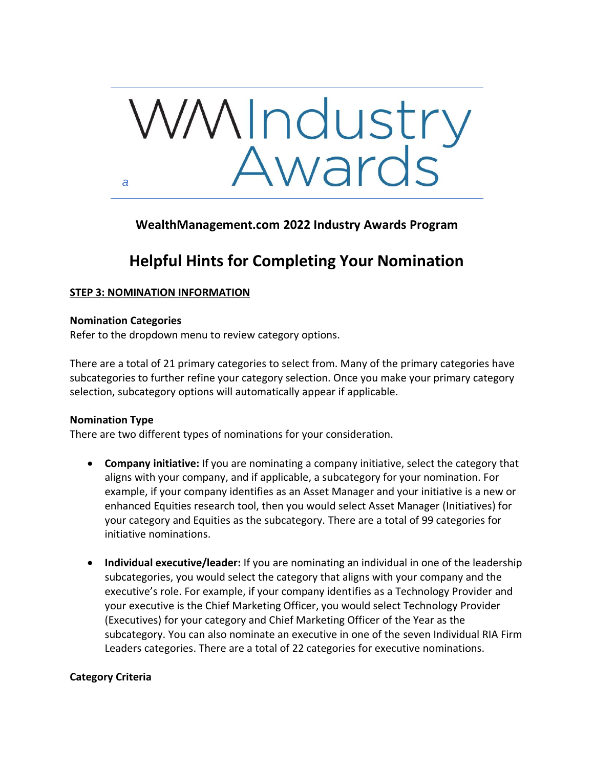

**WealthManagement.com 2022 Industry Awards Program**

# **Helpful Hints for Completing Your Nomination**

# **STEP 3: NOMINATION INFORMATION**

# **Nomination Categories**

Refer to the dropdown menu to review category options.

There are a total of 21 primary categories to select from. Many of the primary categories have subcategories to further refine your category selection. Once you make your primary category selection, subcategory options will automatically appear if applicable.

# **Nomination Type**

There are two different types of nominations for your consideration.

- **Company initiative:** If you are nominating a company initiative, select the category that aligns with your company, and if applicable, a subcategory for your nomination. For example, if your company identifies as an Asset Manager and your initiative is a new or enhanced Equities research tool, then you would select Asset Manager (Initiatives) for your category and Equities as the subcategory. There are a total of 99 categories for initiative nominations.
- **Individual executive/leader:** If you are nominating an individual in one of the leadership subcategories, you would select the category that aligns with your company and the executive's role. For example, if your company identifies as a Technology Provider and your executive is the Chief Marketing Officer, you would select Technology Provider (Executives) for your category and Chief Marketing Officer of the Year as the subcategory. You can also nominate an executive in one of the seven Individual RIA Firm Leaders categories. There are a total of 22 categories for executive nominations.

# **Category Criteria**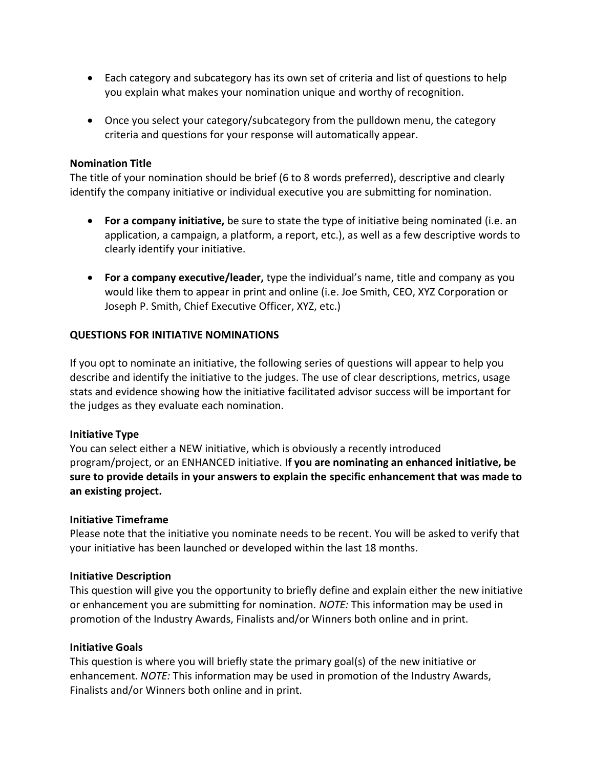- Each category and subcategory has its own set of criteria and list of questions to help you explain what makes your nomination unique and worthy of recognition.
- Once you select your category/subcategory from the pulldown menu, the category criteria and questions for your response will automatically appear.

# **Nomination Title**

The title of your nomination should be brief (6 to 8 words preferred), descriptive and clearly identify the company initiative or individual executive you are submitting for nomination.

- **For a company initiative,** be sure to state the type of initiative being nominated (i.e. an application, a campaign, a platform, a report, etc.), as well as a few descriptive words to clearly identify your initiative.
- **For a company executive/leader,** type the individual's name, title and company as you would like them to appear in print and online (i.e. Joe Smith, CEO, XYZ Corporation or Joseph P. Smith, Chief Executive Officer, XYZ, etc.)

# **QUESTIONS FOR INITIATIVE NOMINATIONS**

If you opt to nominate an initiative, the following series of questions will appear to help you describe and identify the initiative to the judges. The use of clear descriptions, metrics, usage stats and evidence showing how the initiative facilitated advisor success will be important for the judges as they evaluate each nomination.

# **Initiative Type**

You can select either a NEW initiative, which is obviously a recently introduced program/project, or an ENHANCED initiative. I**f you are nominating an enhanced initiative, be sure to provide details in your answers to explain the specific enhancement that was made to an existing project.**

# **Initiative Timeframe**

Please note that the initiative you nominate needs to be recent. You will be asked to verify that your initiative has been launched or developed within the last 18 months.

# **Initiative Description**

This question will give you the opportunity to briefly define and explain either the new initiative or enhancement you are submitting for nomination. *NOTE:* This information may be used in promotion of the Industry Awards, Finalists and/or Winners both online and in print.

# **Initiative Goals**

This question is where you will briefly state the primary goal(s) of the new initiative or enhancement. *NOTE:* This information may be used in promotion of the Industry Awards, Finalists and/or Winners both online and in print.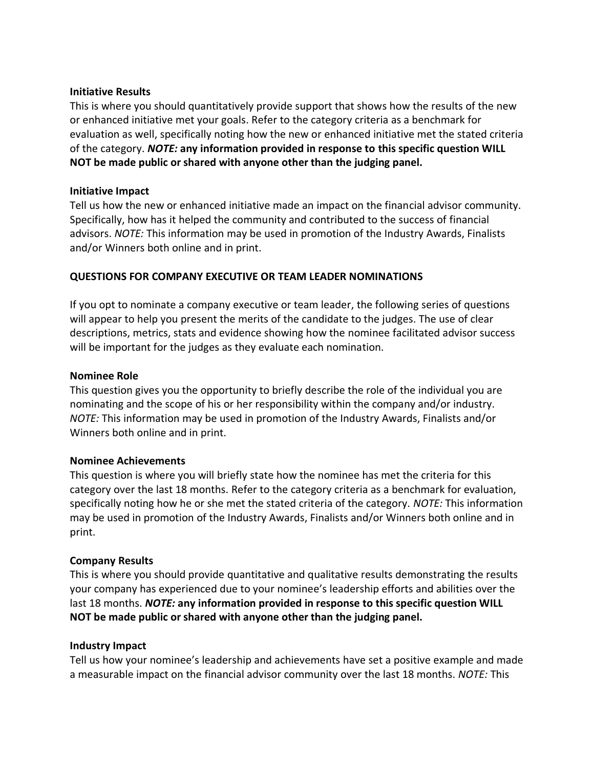#### **Initiative Results**

This is where you should quantitatively provide support that shows how the results of the new or enhanced initiative met your goals. Refer to the category criteria as a benchmark for evaluation as well, specifically noting how the new or enhanced initiative met the stated criteria of the category. *NOTE:* **any information provided in response to this specific question WILL NOT be made public or shared with anyone other than the judging panel.**

# **Initiative Impact**

Tell us how the new or enhanced initiative made an impact on the financial advisor community. Specifically, how has it helped the community and contributed to the success of financial advisors. *NOTE:* This information may be used in promotion of the Industry Awards, Finalists and/or Winners both online and in print.

# **QUESTIONS FOR COMPANY EXECUTIVE OR TEAM LEADER NOMINATIONS**

If you opt to nominate a company executive or team leader, the following series of questions will appear to help you present the merits of the candidate to the judges. The use of clear descriptions, metrics, stats and evidence showing how the nominee facilitated advisor success will be important for the judges as they evaluate each nomination.

#### **Nominee Role**

This question gives you the opportunity to briefly describe the role of the individual you are nominating and the scope of his or her responsibility within the company and/or industry. *NOTE:* This information may be used in promotion of the Industry Awards, Finalists and/or Winners both online and in print.

# **Nominee Achievements**

This question is where you will briefly state how the nominee has met the criteria for this category over the last 18 months. Refer to the category criteria as a benchmark for evaluation, specifically noting how he or she met the stated criteria of the category. *NOTE:* This information may be used in promotion of the Industry Awards, Finalists and/or Winners both online and in print.

# **Company Results**

This is where you should provide quantitative and qualitative results demonstrating the results your company has experienced due to your nominee's leadership efforts and abilities over the last 18 months. *NOTE:* **any information provided in response to this specific question WILL NOT be made public or shared with anyone other than the judging panel.**

# **Industry Impact**

Tell us how your nominee's leadership and achievements have set a positive example and made a measurable impact on the financial advisor community over the last 18 months. *NOTE:* This